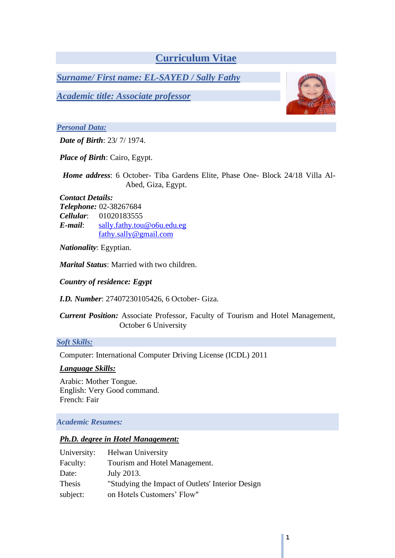# **Curriculum Vitae**

*Surname/ First name: EL-SAYED / Sally Fathy* 

*Academic title: Associate professor*

### *Personal Data:*

*Date of Birth*: 23/ 7/ 1974.

*Place of Birth*: Cairo, Egypt.

*Home address*: 6 October- Tiba Gardens Elite, Phase One- Block 24/18 Villa Al-Abed, Giza, Egypt.

#### *Contact Details:*

*Telephone:* 02-38267684 *Cellular*: 01020183555 *E-mail*: [sally.fathy.tou@o6u.edu.eg](mailto:sally.fathy.tou@o6u.edu.eg) [fathy.sally@gmail.com](mailto:fathy.sally@gmail.com)

*Nationality*: Egyptian.

*Marital Status*: Married with two children.

*Country of residence: Egypt*

*I.D. Number*: 27407230105426, 6 October- Giza.

*Current Position:* Associate Professor, Faculty of Tourism and Hotel Management, October 6 University

*Soft Skills:*

Computer: International Computer Driving License (ICDL) 2011

### *Language Skills:*

Arabic: Mother Tongue. English: Very Good command. French: Fair

### *Academic Resumes:*

### *Ph.D. degree in Hotel Management:*

| University: | <b>Helwan University</b>                         |
|-------------|--------------------------------------------------|
| Faculty:    | Tourism and Hotel Management.                    |
| Date:       | July 2013.                                       |
| Thesis      | "Studying the Impact of Outlets' Interior Design |
| subject:    | on Hotels Customers' Flow"                       |

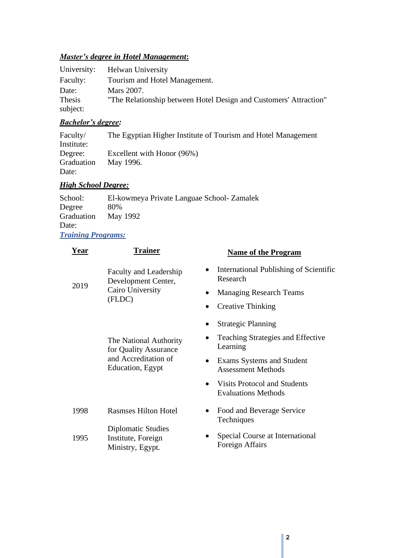# *Master's degree in Hotel Management***:**

|          | University: Helwan University                                     |
|----------|-------------------------------------------------------------------|
| Faculty: | Tourism and Hotel Management.                                     |
| Date:    | Mars 2007.                                                        |
| Thesis   | "The Relationship between Hotel Design and Customers' Attraction" |
| subject: |                                                                   |

# *Bachelor's degree:*

| Faculty/   | The Egyptian Higher Institute of Tourism and Hotel Management |
|------------|---------------------------------------------------------------|
| Institute: |                                                               |
| Degree:    | Excellent with Honor (96%)                                    |
| Graduation | May 1996.                                                     |
| Date:      |                                                               |

### *High School Degree:*

| School:                   | El-kowmeya Private Languae School- Zamalek |  |
|---------------------------|--------------------------------------------|--|
| Degree                    | 80%                                        |  |
| Graduation                | May 1992                                   |  |
| Date:                     |                                            |  |
| <b>Training Programs:</b> |                                            |  |

| Year         | Trainer                                                                                     | <b>Name of the Program</b>                                                                                                                                                                                             |
|--------------|---------------------------------------------------------------------------------------------|------------------------------------------------------------------------------------------------------------------------------------------------------------------------------------------------------------------------|
| 2019         | Faculty and Leadership<br>Development Center,<br>Cairo University<br>(FLDC)                 | International Publishing of Scientific<br>Research<br><b>Managing Research Teams</b><br><b>Creative Thinking</b>                                                                                                       |
|              | The National Authority<br>for Quality Assurance<br>and Accreditation of<br>Education, Egypt | <b>Strategic Planning</b><br>Teaching Strategies and Effective<br>Learning<br>Exams Systems and Student<br>$\bullet$<br><b>Assessment Methods</b><br><b>Visits Protocol and Students</b><br><b>Evaluations Methods</b> |
| 1998<br>1995 | <b>Rasmses Hilton Hotel</b><br>Diplomatic Studies<br>Institute, Foreign<br>Ministry, Egypt. | Food and Beverage Service<br>Techniques<br>Special Course at International<br>Foreign Affairs                                                                                                                          |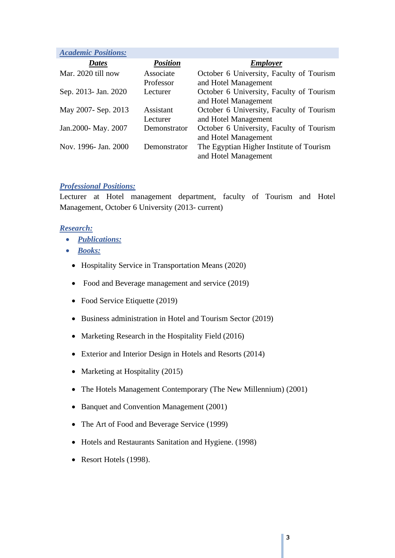| <b>Academic Positions:</b> |                        |                                                                  |
|----------------------------|------------------------|------------------------------------------------------------------|
| <b>Dates</b>               | <b>Position</b>        | <b>Employer</b>                                                  |
| Mar. 2020 till now         | Associate<br>Professor | October 6 University, Faculty of Tourism<br>and Hotel Management |
| Sep. 2013- Jan. 2020       | Lecturer               | October 6 University, Faculty of Tourism<br>and Hotel Management |
| May 2007- Sep. 2013        | Assistant<br>Lecturer  | October 6 University, Faculty of Tourism<br>and Hotel Management |
| Jan. 2000 - May. 2007      | Demonstrator           | October 6 University, Faculty of Tourism<br>and Hotel Management |
| Nov. 1996- Jan. 2000       | Demonstrator           | The Egyptian Higher Institute of Tourism<br>and Hotel Management |

### *Professional Positions:*

Lecturer at Hotel management department, faculty of Tourism and Hotel Management, October 6 University (2013- current)

### *Research:*

- *Publications:*
- *Books:*
	- Hospitality Service in Transportation Means (2020)
	- Food and Beverage management and service (2019)
	- Food Service Etiquette (2019)
	- Business administration in Hotel and Tourism Sector (2019)
	- Marketing Research in the Hospitality Field (2016)
	- Exterior and Interior Design in Hotels and Resorts (2014)
	- Marketing at Hospitality (2015)
	- The Hotels Management Contemporary (The New Millennium) (2001)
	- Banquet and Convention Management (2001)
	- The Art of Food and Beverage Service (1999)
	- Hotels and Restaurants Sanitation and Hygiene. (1998)
	- Resort Hotels (1998).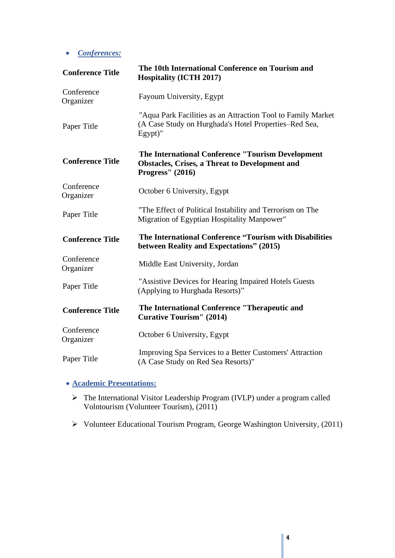• *Conferences:*

| <b>Conference Title</b> | The 10th International Conference on Tourism and<br><b>Hospitality (ICTH 2017)</b>                                                     |  |
|-------------------------|----------------------------------------------------------------------------------------------------------------------------------------|--|
| Conference<br>Organizer | Fayoum University, Egypt                                                                                                               |  |
| Paper Title             | "Aqua Park Facilities as an Attraction Tool to Family Market<br>(A Case Study on Hurghada's Hotel Properties–Red Sea,<br>Egypt)"       |  |
| <b>Conference Title</b> | The International Conference "Tourism Development<br><b>Obstacles, Crises, a Threat to Development and</b><br><b>Progress''</b> (2016) |  |
| Conference<br>Organizer | October 6 University, Egypt                                                                                                            |  |
| Paper Title             | "The Effect of Political Instability and Terrorism on The<br>Migration of Egyptian Hospitality Manpower"                               |  |
| <b>Conference Title</b> | The International Conference "Tourism with Disabilities<br>between Reality and Expectations" (2015)                                    |  |
| Conference<br>Organizer | Middle East University, Jordan                                                                                                         |  |
| Paper Title             | "Assistive Devices for Hearing Impaired Hotels Guests<br>(Applying to Hurghada Resorts)"                                               |  |
| <b>Conference Title</b> | The International Conference "Therapeutic and<br><b>Curative Tourism" (2014)</b>                                                       |  |
| Conference<br>Organizer | October 6 University, Egypt                                                                                                            |  |
| Paper Title             | Improving Spa Services to a Better Customers' Attraction<br>(A Case Study on Red Sea Resorts)"                                         |  |

### • **Academic Presentations:**

- ➢ The International Visitor Leadership Program (IVLP) under a program called Volntourism (Volunteer Tourism), (2011)
- ➢ Volunteer Educational Tourism Program, George Washington University, (2011)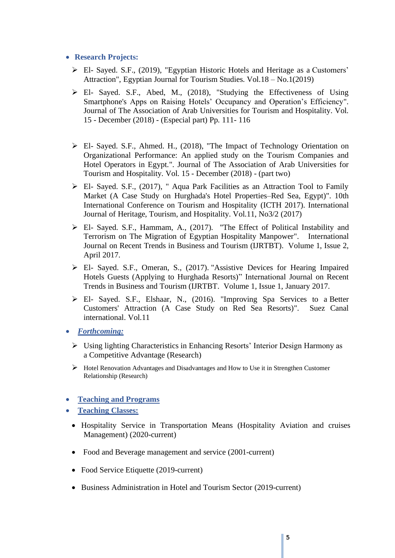### • **Research Projects:**

- ➢ El- Sayed. S.F., (2019), "Egyptian Historic Hotels and Heritage as a Customers' Attraction", Egyptian Journal for Tourism Studies. Vol.18 – No.1(2019)
- ➢ El- Sayed. S.F., Abed, M., (2018), "Studying the Effectiveness of Using Smartphone's Apps on Raising Hotels' Occupancy and Operation's Efficiency". Journal of The Association of Arab Universities for Tourism and Hospitality. Vol. 15 - December (2018) - (Especial part) Pp. 111- 116
- ➢ El- Sayed. S.F., Ahmed. H., (2018), "The Impact of Technology Orientation on Organizational Performance: An applied study on the Tourism Companies and Hotel Operators in Egypt.". Journal of The Association of Arab Universities for Tourism and Hospitality. Vol. 15 - December (2018) - (part two)
- ➢ El- Sayed. S.F., (2017), " Aqua Park Facilities as an Attraction Tool to Family Market (A Case Study on Hurghada's Hotel Properties–Red Sea, Egypt)". 10th International Conference on Tourism and Hospitality (ICTH 2017). International Journal of Heritage, Tourism, and Hospitality. Vol.11, No3/2 (2017)
- ➢ El- Sayed. S.F., Hammam, A., (2017). ''The Effect of Political Instability and Terrorism on The Migration of Egyptian Hospitality Manpower". International Journal on Recent Trends in Business and Tourism (IJRTBT). Volume 1, Issue 2, April 2017.
- ➢ El- Sayed. S.F., Omeran, S., (2017). "Assistive Devices for Hearing Impaired Hotels Guests (Applying to Hurghada Resorts)" International Journal on Recent Trends in Business and Tourism (IJRTBT. Volume 1, Issue 1, January 2017.
- ➢ El- Sayed. S.F., Elshaar, N., (2016). "Improving Spa Services to a Better Customers' Attraction (A Case Study on Red Sea Resorts)". Suez Canal international. Vol.11
- *Forthcoming:*
	- ➢ Using lighting Characteristics in Enhancing Resorts' Interior Design Harmony as a Competitive Advantage (Research)
	- ➢ Hotel Renovation Advantages and Disadvantages and How to Use it in Strengthen Customer Relationship (Research)
- **Teaching and Programs**
- **Teaching Classes:**
	- Hospitality Service in Transportation Means (Hospitality Aviation and cruises Management) (2020-current)
	- Food and Beverage management and service (2001-current)
	- Food Service Etiquette (2019-current)
	- Business Administration in Hotel and Tourism Sector (2019-current)